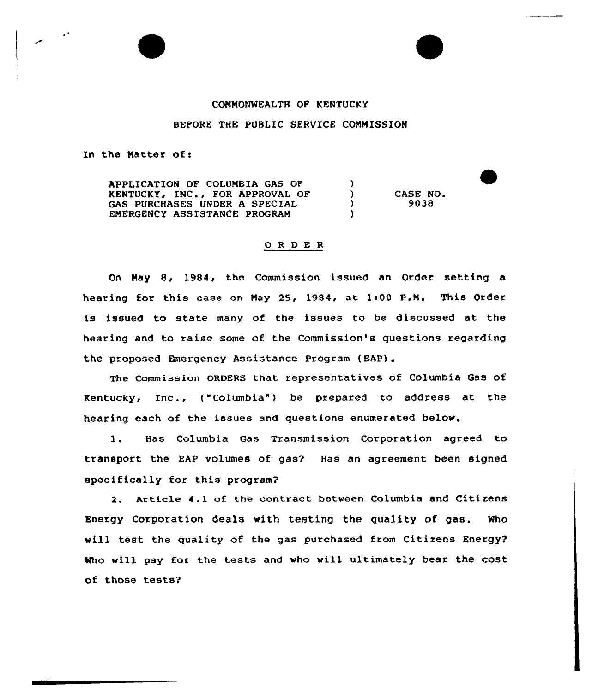## COMMONWEALTH OP KENTUCKY

## BEFORE THE PUBLIC SERVICE COMMISSION

In the Natter of:

APPLICATION OF COLUMBIA GAS OF  $\lambda$ KENTUCKY, INC., FOR APPROVAL OF  $\mathcal{L}$ CASE NO. GAS PURCHASES UNDER A SPECIAL  $\lambda$ 9038 EMERGENCY ASSISTANCE PROGRAM  $\lambda$ 

## 0 <sup>R</sup> <sup>D</sup> E <sup>R</sup>

On May &, 19&4, the Commission issued an Order setting a hearing for this case on Nay 25, 1984, at 1:00 P.N. This Order is issued to state many of the issues to be discussed at the hearing and to raise some of the Commission's questions regarding the proposed Emergency Assistance Program (EAP).

The Commission ORDERS that representatives of Columbia Gas of Kentucky, Inc.,  $(\text{``Columnia''})$  be prepared to address at the hearing each of the issues and questions enumerated below.

1. Has Columbia Gas Transmission Corporation agreed to transport the EAP volumes of gas? Has an agreement been signed specifically for this program?

2. Article 4.1 of the contract between Columbia and Citizens Energy Corporation deals with testing the quality of gas. Who will test the quality of the gas purchased from Citizens Energy? Who will pay for the tests and who will ultimately bear the cost of those tests?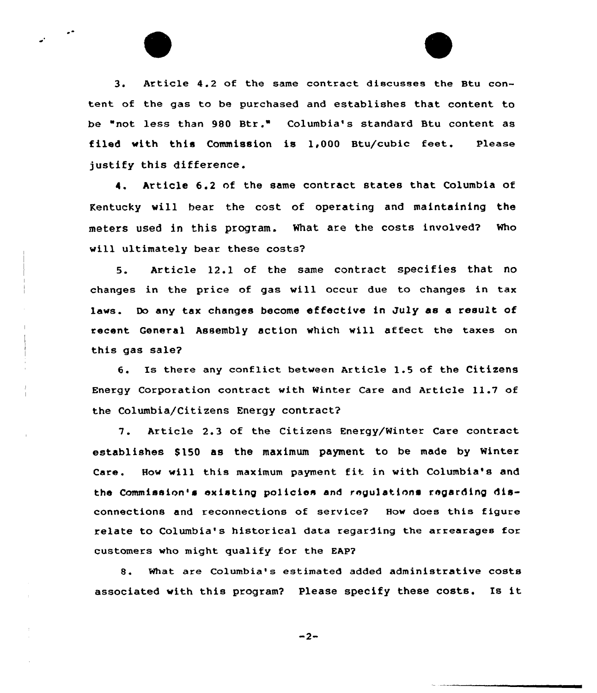3. Article 4.2 of the same contract discusses the Btu content of the gas to be purchased and establishes that content to be "not less than 980 Btr." Columbia's standard Btu content as filed with this Commission is  $1,000$  Btu/cubic feet. Please justify this difference.

4. Article 6.2 of the same contract states that Columbia of Kentucky vill bear the cost of operating and maintaining the meters used in this program. What are the costs involved? Who will ultimately bear these costs?

5. Article 12.1 of the same contract specifies that no changes in the price of gas will occur due to changes in tax laws. Do any tax changes become effective in July as a result of recent General Assembly action which will affect the taxes on this gas sale?

6. Is there any conflict between Article 1.5 of the Citizens Energy Corporation contract. with Winter Care and Article 11.7 of the Columbia/Citizens Energy contract?

7. Article 2.3 of the Citizens Energy/Winter Care contract establishes \$150 as the maximum payment to be made by Winter Care. How vill this maximum payment fit in with Columbia's and the Commission's existing po1icies and regulations regarding disconnections and reconnections of service? How does this figure relate to Columbia's historical data regarding the arrearages for customers who might qualify for the EAP?

8. What are Columbia's estimated added administrative costs associated with this program? Please specify these costs. Is it

 $-2-$